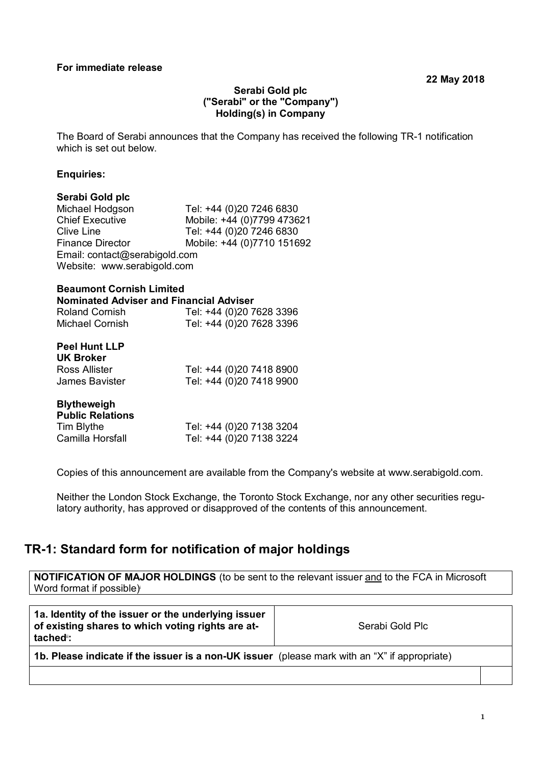### **Serabi Gold plc ("Serabi" or the "Company") Holding(s) in Company**

The Board of Serabi announces that the Company has received the following TR-1 notification which is set out below.

#### **Enquiries:**

# **Serabi Gold plc**

Tel: +44 (0)20 7246 6830 Chief Executive Mobile: +44 (0)7799 473621<br>Clive Line Tel: +44 (0)20 7246 6830 Tel: +44 (0)20 7246 6830 Finance Director Mobile: +44 (0)7710 151692 Email: contact@serabigold.com Website: www.serabigold.com

#### **Beaumont Cornish Limited Nominated Adviser and Financial Adviser**

| <b>Roland Cornish</b> | Tel: +44 (0)20 7628 3396 |
|-----------------------|--------------------------|
| Michael Cornish       | Tel: +44 (0)20 7628 3396 |

| <b>Peel Hunt LLP</b><br><b>UK Broker</b> |                          |
|------------------------------------------|--------------------------|
| Ross Allister                            | Tel: +44 (0)20 7418 8900 |
| James Bavister                           | Tel: +44 (0)20 7418 9900 |

| <b>Blytheweigh</b><br><b>Public Relations</b> |                          |
|-----------------------------------------------|--------------------------|
| Tim Blythe                                    | Tel: +44 (0)20 7138 3204 |
| Camilla Horsfall                              | Tel: +44 (0)20 7138 3224 |

Copies of this announcement are available from the Company's website at www.serabigold.com.

Neither the London Stock Exchange, the Toronto Stock Exchange, nor any other securities regulatory authority, has approved or disapproved of the contents of this announcement.

## **TR-1: Standard form for notification of major holdings**

**NOTIFICATION OF MAJOR HOLDINGS** (to be sent to the relevant issuer and to the FCA in Microsoft Word format if possible)

| 1a. Identity of the issuer or the underlying issuer<br>of existing shares to which voting rights are at-<br>tached <sup>®</sup> : | Serabi Gold Plc |  |
|-----------------------------------------------------------------------------------------------------------------------------------|-----------------|--|
| 1b. Please indicate if the issuer is a non-UK issuer (please mark with an "X" if appropriate)                                     |                 |  |
|                                                                                                                                   |                 |  |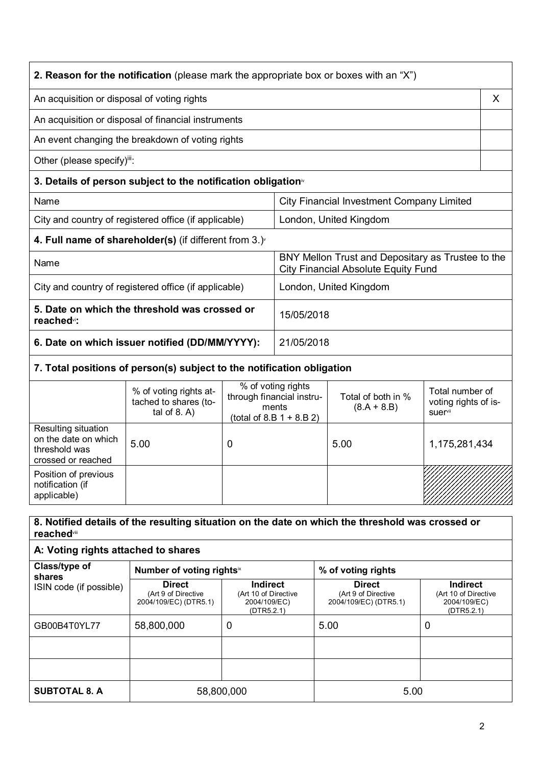| <b>2. Reason for the notification</b> (please mark the appropriate box or boxes with an "X") |                                                                                                 |   |  |
|----------------------------------------------------------------------------------------------|-------------------------------------------------------------------------------------------------|---|--|
| An acquisition or disposal of voting rights                                                  |                                                                                                 | X |  |
| An acquisition or disposal of financial instruments                                          |                                                                                                 |   |  |
| An event changing the breakdown of voting rights                                             |                                                                                                 |   |  |
| Other (please specify)":                                                                     |                                                                                                 |   |  |
| 3. Details of person subject to the notification obligation <sup>®</sup>                     |                                                                                                 |   |  |
| Name                                                                                         | City Financial Investment Company Limited                                                       |   |  |
| City and country of registered office (if applicable)<br>London, United Kingdom              |                                                                                                 |   |  |
| 4. Full name of shareholder(s) (if different from $3.$ )                                     |                                                                                                 |   |  |
| Name                                                                                         | BNY Mellon Trust and Depositary as Trustee to the<br><b>City Financial Absolute Equity Fund</b> |   |  |
| City and country of registered office (if applicable)                                        | London, United Kingdom                                                                          |   |  |
| 5. Date on which the threshold was crossed or<br>reached <sup>*</sup> :                      | 15/05/2018                                                                                      |   |  |
| 6. Date on which issuer notified (DD/MM/YYYY):                                               | 21/05/2018                                                                                      |   |  |
|                                                                                              |                                                                                                 |   |  |

## **7. Total positions of person(s) subject to the notification obligation**

|                                                                                    | % of voting rights at-<br>tached to shares (to-<br>tal of $8. A$ ) | % of voting rights<br>through financial instru-<br>ments<br>(total of 8.B $1 + 8.B 2$ ) | Total of both in %<br>$(8.A + 8.B)$ | Total number of<br>voting rights of is-<br><b>suer</b> <sup>vii</sup> |
|------------------------------------------------------------------------------------|--------------------------------------------------------------------|-----------------------------------------------------------------------------------------|-------------------------------------|-----------------------------------------------------------------------|
| Resulting situation<br>on the date on which<br>threshold was<br>crossed or reached | 5.00                                                               | 0                                                                                       | 5.00                                | 1,175,281,434                                                         |
| Position of previous<br>notification (if<br>applicable)                            |                                                                    |                                                                                         |                                     |                                                                       |

### **8. Notified details of the resulting situation on the date on which the threshold was crossed or reached**viii

### **A: Voting rights attached to shares**

| Class/type of<br>shares | Number of voting rightsix                                     |                                                                       | % of voting rights                                            |                                                                |
|-------------------------|---------------------------------------------------------------|-----------------------------------------------------------------------|---------------------------------------------------------------|----------------------------------------------------------------|
| ISIN code (if possible) | <b>Direct</b><br>(Art 9 of Directive<br>2004/109/EC) (DTR5.1) | <b>Indirect</b><br>(Art 10 of Directive<br>2004/109/EC)<br>(DTR5.2.1) | <b>Direct</b><br>(Art 9 of Directive<br>2004/109/EC) (DTR5.1) | Indirect<br>(Art 10 of Directive<br>2004/109/EC)<br>(DTR5.2.1) |
| GB00B4T0YL77            | 58,800,000                                                    | 0                                                                     | 5.00                                                          | 0                                                              |
|                         |                                                               |                                                                       |                                                               |                                                                |
|                         |                                                               |                                                                       |                                                               |                                                                |
| <b>SUBTOTAL 8. A</b>    |                                                               | 58,800,000                                                            | 5.00                                                          |                                                                |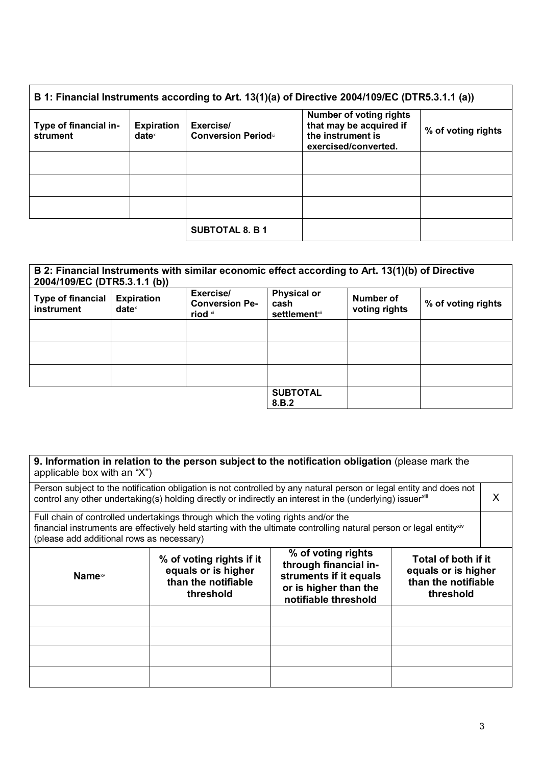| B 1: Financial Instruments according to Art. 13(1)(a) of Directive 2004/109/EC (DTR5.3.1.1 (a)) |                                      |                                         |                                                                                                        |                    |
|-------------------------------------------------------------------------------------------------|--------------------------------------|-----------------------------------------|--------------------------------------------------------------------------------------------------------|--------------------|
| Type of financial in-<br>strument                                                               | <b>Expiration</b><br>$date^{\times}$ | Exercise/<br><b>Conversion Periodxi</b> | <b>Number of voting rights</b><br>that may be acquired if<br>the instrument is<br>exercised/converted. | % of voting rights |
|                                                                                                 |                                      |                                         |                                                                                                        |                    |
|                                                                                                 |                                      |                                         |                                                                                                        |                    |
|                                                                                                 |                                      |                                         |                                                                                                        |                    |
|                                                                                                 |                                      | <b>SUBTOTAL 8. B 1</b>                  |                                                                                                        |                    |

#### **B 2: Financial Instruments with similar economic effect according to Art. 13(1)(b) of Directive 2004/109/EC (DTR5.3.1.1 (b)) Type of financial instrument Expiration date**<sup>x</sup> **Exercise/ Conversion Period** xi **Physical or cash settlement**×ii **Number of voting rights % of voting rights SUBTOTAL 8.B.2**

| 9. Information in relation to the person subject to the notification obligation (please mark the<br>applicable box with an "X")                                                                                                                                                                                       |  |                                                                                                                                                                                                                                  |  |   |  |
|-----------------------------------------------------------------------------------------------------------------------------------------------------------------------------------------------------------------------------------------------------------------------------------------------------------------------|--|----------------------------------------------------------------------------------------------------------------------------------------------------------------------------------------------------------------------------------|--|---|--|
|                                                                                                                                                                                                                                                                                                                       |  | Person subject to the notification obligation is not controlled by any natural person or legal entity and does not<br>control any other undertaking(s) holding directly or indirectly an interest in the (underlying) issuerxili |  | X |  |
| <b>Full chain of controlled undertakings through which the voting rights and/or the</b><br>financial instruments are effectively held starting with the ultimate controlling natural person or legal entity <sup>xiv</sup><br>(please add additional rows as necessary)                                               |  |                                                                                                                                                                                                                                  |  |   |  |
| % of voting rights<br>% of voting rights if it<br>Total of both if it<br>through financial in-<br>equals or is higher<br>equals or is higher<br>struments if it equals<br>Name <sup>xv</sup><br>than the notifiable<br>than the notifiable<br>or is higher than the<br>threshold<br>threshold<br>notifiable threshold |  |                                                                                                                                                                                                                                  |  |   |  |
|                                                                                                                                                                                                                                                                                                                       |  |                                                                                                                                                                                                                                  |  |   |  |
|                                                                                                                                                                                                                                                                                                                       |  |                                                                                                                                                                                                                                  |  |   |  |
|                                                                                                                                                                                                                                                                                                                       |  |                                                                                                                                                                                                                                  |  |   |  |
|                                                                                                                                                                                                                                                                                                                       |  |                                                                                                                                                                                                                                  |  |   |  |